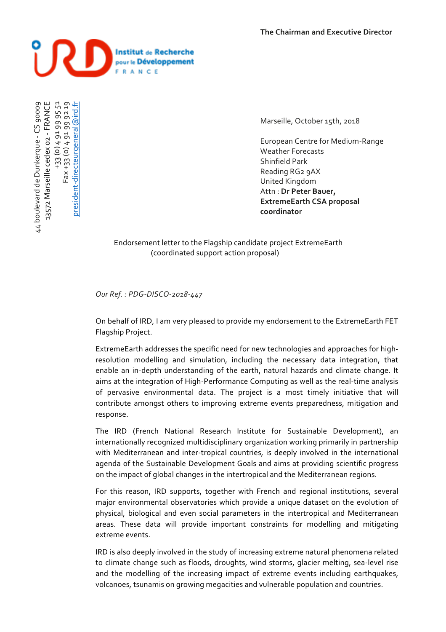

+33 (0) 4 91 99 95 51<br>+33 (0) 4 91 99 92 19 +33 (0) 4 91 99 95 51 13572 Marseille cedex o2 - FRANCE 44 boulevard de Dunkerque - CS 90009 president-directeurgeneral@ird.fr president-directeurgeneral@ird.fr44 boulevard de Dunkerque - CS 90009 13572 Marseille cedex 02 - FRANCE Fax +33 (0) 4 91 99 92 19  $Fax + 33(0)4$ 

Marseille, October 15th, 2018

European Centre for Medium-Range Weather Forecasts Shinfield Park Reading RG<sub>2</sub> 9AX United Kingdom Attn : Dr Peter Bauer, **ExtremeEarth CSA proposal coordinator**

Endorsement letter to the Flagship candidate project ExtremeEarth (coordinated support action proposal)

*Our Ref. : PDG-DISCO-2018-447*

On behalf of IRD, I am very pleased to provide my endorsement to the ExtremeEarth FET Flagship Project.

ExtremeEarth addresses the specific need for new technologies and approaches for highresolution modelling and simulation, including the necessary data integration, that enable an in-depth understanding of the earth, natural hazards and climate change. It aims at the integration of High-Performance Computing as well as the real-time analysis of pervasive environmental data. The project is a most timely initiative that will contribute amongst others to improving extreme events preparedness, mitigation and response.

The IRD (French National Research Institute for Sustainable Development), an internationally recognized multidisciplinary organization working primarily in partnership with Mediterranean and inter-tropical countries, is deeply involved in the international agenda of the Sustainable Development Goals and aims at providing scientific progress on the impact of global changes in the intertropical and the Mediterranean regions.

For this reason, IRD supports, together with French and regional institutions, several major environmental observatories which provide a unique dataset on the evolution of physical, biological and even social parameters in the intertropical and Mediterranean areas. These data will provide important constraints for modelling and mitigating extreme events.

IRD is also deeply involved in the study of increasing extreme natural phenomena related to climate change such as floods, droughts, wind storms, glacier melting, sea-level rise and the modelling of the increasing impact of extreme events including earthquakes, volcanoes, tsunamis on growing megacities and vulnerable population and countries.